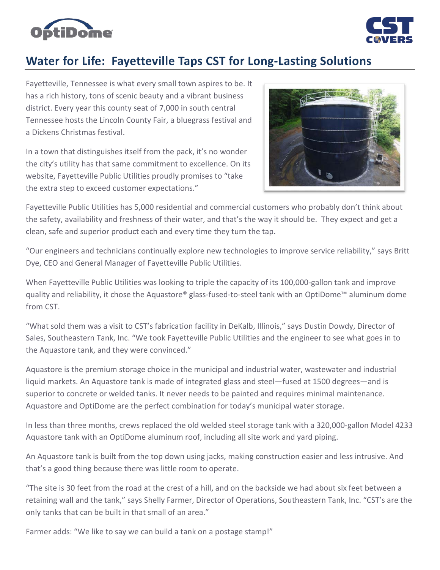



## **Water for Life: Fayetteville Taps CST for Long-Lasting Solutions**

Fayetteville, Tennessee is what every small town aspires to be. It has a rich history, tons of scenic beauty and a vibrant business district. Every year this county seat of 7,000 in south central Tennessee hosts the Lincoln County Fair, a bluegrass festival and a Dickens Christmas festival.

In a town that distinguishes itself from the pack, it's no wonder the city's utility has that same commitment to excellence. On its website, Fayetteville Public Utilities proudly promises to "take the extra step to exceed customer expectations."



Fayetteville Public Utilities has 5,000 residential and commercial customers who probably don't think about the safety, availability and freshness of their water, and that's the way it should be. They expect and get a clean, safe and superior product each and every time they turn the tap.

"Our engineers and technicians continually explore new technologies to improve service reliability," says Britt Dye, CEO and General Manager of Fayetteville Public Utilities.

When Fayetteville Public Utilities was looking to triple the capacity of its 100,000-gallon tank and improve quality and reliability, it chose the Aquastore® glass-fused-to-steel tank with an OptiDome™ aluminum dome from CST.

"What sold them was a visit to CST's fabrication facility in DeKalb, Illinois," says Dustin Dowdy, Director of Sales, Southeastern Tank, Inc. "We took Fayetteville Public Utilities and the engineer to see what goes in to the Aquastore tank, and they were convinced."

Aquastore is the premium storage choice in the municipal and industrial water, wastewater and industrial liquid markets. An Aquastore tank is made of integrated glass and steel—fused at 1500 degrees—and is superior to concrete or welded tanks. It never needs to be painted and requires minimal maintenance. Aquastore and OptiDome are the perfect combination for today's municipal water storage.

In less than three months, crews replaced the old welded steel storage tank with a 320,000-gallon Model 4233 Aquastore tank with an OptiDome aluminum roof, including all site work and yard piping.

An Aquastore tank is built from the top down using jacks, making construction easier and less intrusive. And that's a good thing because there was little room to operate.

"The site is 30 feet from the road at the crest of a hill, and on the backside we had about six feet between a retaining wall and the tank," says Shelly Farmer, Director of Operations, Southeastern Tank, Inc. "CST's are the only tanks that can be built in that small of an area."

Farmer adds: "We like to say we can build a tank on a postage stamp!"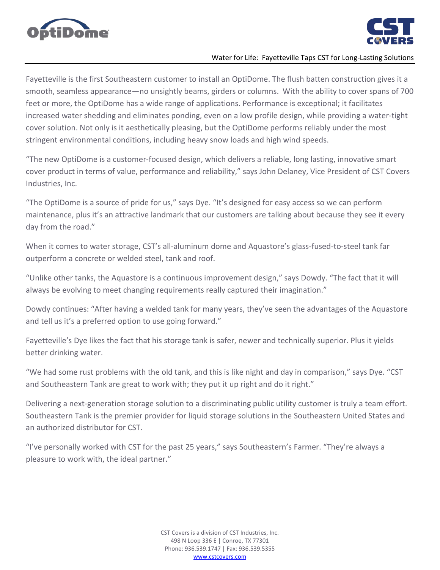



## Water for Life: Fayetteville Taps CST for Long-Lasting Solutions

Fayetteville is the first Southeastern customer to install an OptiDome. The flush batten construction gives it a smooth, seamless appearance—no unsightly beams, girders or columns. With the ability to cover spans of 700 feet or more, the OptiDome has a wide range of applications. Performance is exceptional; it facilitates increased water shedding and eliminates ponding, even on a low profile design, while providing a water-tight cover solution. Not only is it aesthetically pleasing, but the OptiDome performs reliably under the most stringent environmental conditions, including heavy snow loads and high wind speeds.

"The new OptiDome is a customer-focused design, which delivers a reliable, long lasting, innovative smart cover product in terms of value, performance and reliability," says John Delaney, Vice President of CST Covers Industries, Inc.

"The OptiDome is a source of pride for us," says Dye. "It's designed for easy access so we can perform maintenance, plus it's an attractive landmark that our customers are talking about because they see it every day from the road."

When it comes to water storage, CST's all-aluminum dome and Aquastore's glass-fused-to-steel tank far outperform a concrete or welded steel, tank and roof.

"Unlike other tanks, the Aquastore is a continuous improvement design," says Dowdy. "The fact that it will always be evolving to meet changing requirements really captured their imagination."

Dowdy continues: "After having a welded tank for many years, they've seen the advantages of the Aquastore and tell us it's a preferred option to use going forward."

Fayetteville's Dye likes the fact that his storage tank is safer, newer and technically superior. Plus it yields better drinking water.

"We had some rust problems with the old tank, and this is like night and day in comparison," says Dye. "CST and Southeastern Tank are great to work with; they put it up right and do it right."

Delivering a next-generation storage solution to a discriminating public utility customer is truly a team effort. Southeastern Tank is the premier provider for liquid storage solutions in the Southeastern United States and an authorized distributor for CST.

"I've personally worked with CST for the past 25 years," says Southeastern's Farmer. "They're always a pleasure to work with, the ideal partner."